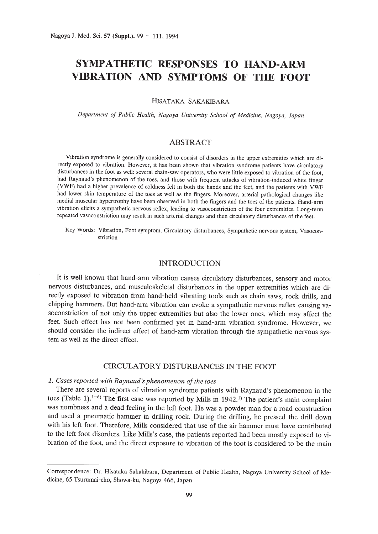# **SYMPATHETIC RESPONSES TO HAND-ARM VIBRATION AND SYMPTOMS OF THE FOOT**

HISATAKA SAKAKIBARA

*Department of Public Health, Nagoya University School of Medicine, Nagoya, Japan*

# *ABSTRACT*

Vibration syndrome is generally considered to consist of disorders in the upper extremities which are directly exposed to vibration. However, it has been shown that vibration syndrome patients have circulatory disturbances in the foot as well: several chain-saw operators, who were little exposed to vibration of the foot, had Raynaud's phenomenon of the toes, and those with frequent attacks of vibration-induced white finger (VWF) had a higher prevalence of coldness felt in both the hands and the feet, and the patients with VWF had lower skin temperature of the toes as well as the fingers. Moreover, arterial pathological changes like medial muscular hypertrophy have been observed in both the fingers and the toes of the patients. Hand-arm vibration elicits a sympathetic nervous reflex, leading to vasoconstriction of the four extremities. Long-term repeated vasoconstriction may result in such arterial changes and then circulatory disturbances of the feet.

Key Words: Vibration, Foot symptom, Circulatory disturbances, Sympathetic nervous system, Vasoconstriction

### INTRODUCTION

It is well known that hand-arm vibration causes circulatory disturbances, sensory and motor nervous disturbances, and musculoskeletal disturbances in the upper extremities which are directly exposed to vibration from hand-held vibrating tools such as chain saws, rock drills, and chipping hammers. But hand-arm vibration can evoke a sympathetic nervous reflex causing vasoconstriction of not only the upper extremities but also the lower ones, which may affect the feet. Such effect has not been confirmed yet in hand-arm vibration syndrome. However, we should consider the indirect effect of hand-arm vibration through the sympathetic nervous system as well as the direct effect.

### CIRCULATORY DISTURBANCES IN THE FOOT

# *1. Cases reported with Raynaud's phenomenon ofthe toes*

There are several reports of vibration syndrome patients with Raynaud's phenomenon in the toes (Table 1).<sup>1-6)</sup> The first case was reported by Mills in 1942.<sup>1)</sup> The patient's main complaint was numbness and a dead feeling in the left foot. He was a powder man for a road construction and used a pneumatic hammer in drilling rock. During the drilling, he pressed the drill down with his left foot. Therefore, Mills considered that use of the air hammer must have contributed to the left foot disorders. Like Mills's case, the patients reported had been mostly exposed to vibration of the foot, and the direct exposure to vibration of the foot is considered to be the main

Correspondence: Dr. Hisataka Sakakibara, Department of Public Health, Nagoya University School of Medicine, 65 Tsurumai-cho, Showa-ku, Nagoya 466, Japan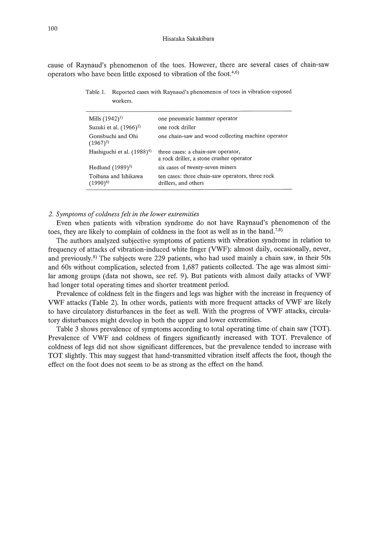cause of Raynaud's phenomenon of the toes. However, there are several cases of chain-saw operators who have been little exposed to vibration of the foot. $4,6$ )

| Table 1. Reported cases with Raynaud's phenomenon of toes in vibration-exposed |
|--------------------------------------------------------------------------------|
| workers.                                                                       |

| Mills $(1942)^{1}$                     | one pneumatic hammer operator                                                  |
|----------------------------------------|--------------------------------------------------------------------------------|
| Suzuki et al. $(1966)^2$               | one rock driller                                                               |
| Gomibuchi and Ohi<br>$(1967)^3$        | one chain-saw and wood collecting machine operator                             |
| Hashiguchi et al. (1988) <sup>4)</sup> | three cases: a chain-saw operator,<br>a rock driller, a stone crusher operator |
| Hedlund $(1989)^{5}$                   | six cases of twenty-seven miners                                               |
| Toibana and Ishikawa<br>$(1990)^6$     | ten cases: three chain-saw operators, three rock<br>drillers, and others       |

### *2. Symptoms of coldness felt in the lower extremities*

Even when patients with vibration syndrome do not have Raynaud's phenomenon of the toes, they are likely to complain of coldness in the foot as well as in the hand.<sup>7,8)</sup>

The authors analyzed subjective symptoms of patients with vibration syndrome in relation to frequency of attacks of vibration-induced white finger (VWF): almost daily, occasionally, never, and previously,*B)* The subjects were 229 patients, who had used mainly a chain saw, in their 50s and 60s without complication, selected from 1,687 patients collected. The age was almost similar among groups (data not shown, see ref. 9). But patients with almost daily attacks of VWF had longer total operating times and shorter treatment period.

Prevalence of coldness felt in the fingers and legs was higher with the increase in frequency of VWF attacks (Table 2). In other words, patients with more frequent attacks of VWF are likely to have circulatory disturbances in the feet as well. With the progress of VWF attacks, circulatory disturbances might develop in both the upper and lower extremities.

Table 3 shows prevalence of symptoms according to total operating time of chain saw (TOT). Prevalence of VWF and coldness of fingers significantly increased with TOT. Prevalence of coldness of legs did not show significant differences, but the prevalence tended to increase with TOT slightly. This may suggest that hand-transmitted vibration itself affects the foot, though the effect on the foot does not seem to be as strong as the effect on the hand.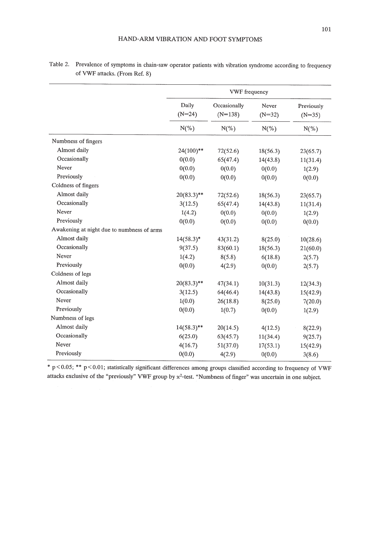|                    |                   | <b>VWF</b> frequency      |                   |                                    |  |  |  |  |
|--------------------|-------------------|---------------------------|-------------------|------------------------------------|--|--|--|--|
|                    | Daily<br>$(N=24)$ | Occasionally<br>$(N=138)$ | Never<br>$(N=32)$ | Previously<br>$(N=35)$<br>$N(\% )$ |  |  |  |  |
|                    | $N(\% )$          | $N(\%)$                   | $N(\% )$          |                                    |  |  |  |  |
| umbness of fingers |                   |                           |                   |                                    |  |  |  |  |
| Almost daily       | $24(100)$ **      | 72(52.6)                  | 18(56.3)          | 23(65.7)                           |  |  |  |  |
| Occasionally       | 0(0.0)            | 65(47.4)                  | 14(43.8)          | 11(31.4)                           |  |  |  |  |
| Never              | 0(0.0)            | 0(0.0)                    | 0(0.0)            | 1(2.9)                             |  |  |  |  |
| Previously         | 0(0.0)            | 0(0.0)                    | 0(0.0)            | 0(0.0)                             |  |  |  |  |
| oldness of fingers |                   |                           |                   |                                    |  |  |  |  |
| Almost daily       | $20(83.3)$ **     | 72(52.6)                  | 18(56.3)          | 23(65.7)                           |  |  |  |  |
| Occasionally       | 3(12.5)           | 65(47.4)                  | 14(43.8)          | 11(31.4)                           |  |  |  |  |

| Table 2. Prevalence of symptoms in chain-saw operator patients with vibration syndrome according to frequency |
|---------------------------------------------------------------------------------------------------------------|
| of VWF attacks. (From Ref. 8)                                                                                 |

Numbness of fingers

Coldness of fingers

Awakening at night due to numbness of arms

Occasionally 9(37.5) 83(60.1) 18(56.3) 21(60.0) Never  $1(4.2)$   $8(5.8)$   $6(18.8)$   $2(5.7)$ Previously  $0(0.0)$   $4(2.9)$   $0(0.0)$   $2(5.7)$ Coldness of legs Almost daily 20(83.3)<sup>\*\*</sup> 47(34.1) 10(31.3) 12(34.3) Occasionally 3(12.5) 64(46.4) 14(43.8) 15(42.9) Never  $1(0.0)$   $26(18.8)$   $8(25.0)$   $7(20.0)$ Previously  $0(0.0)$   $1(0.7)$   $0(0.0)$   $1(2.9)$ Numbness of legs Almost daily  $14(58.3)$ <sup>\*\*</sup>  $20(14.5)$   $4(12.5)$   $8(22.9)$ Occasionally 6(25.0) 63(45.7) 11(34.4) 9(25.7) Never 4(16.7) 51(37.0) 17(53.1) 15(42.9) Previously  $0(0.0)$   $4(2.9)$   $0(0.0)$   $3(8.6)$ 

Never  $1(4.2)$   $0(0.0)$   $0(0.0)$   $1(2.9)$ Previously  $0(0.0)$   $0(0.0)$   $0(0.0)$   $0(0.0)$   $0(0.0)$ 

Almost daily  $14(58.3)^*$   $43(31.2)$   $8(25.0)$   $10(28.6)$ 

\* p<0.05; \*\* p<O.OI; statistically significant differences among groups classified according to frequency of VWF attacks exclusive of the "previously" VWF group by  $x^2$ -test. "Numbness of finger" was uncertain in one subject.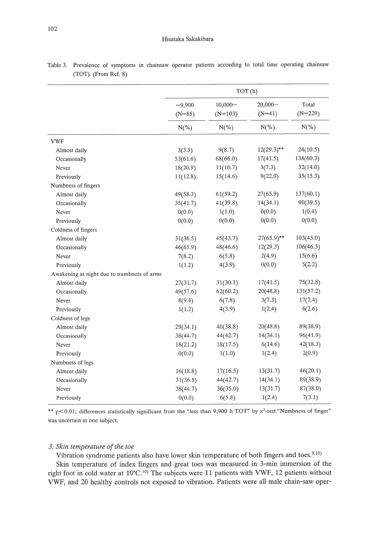|                                            | TOT(h)               |                         |                        |                    |  |  |
|--------------------------------------------|----------------------|-------------------------|------------------------|--------------------|--|--|
|                                            | $-9,900$<br>$(N=85)$ | $10,000 -$<br>$(N=103)$ | $20,000 -$<br>$(N=41)$ | Total<br>$(N=229)$ |  |  |
|                                            | $N(\% )$             | $N(\% )$                | $N(\% )$               | $N(\% )$           |  |  |
| <b>VWF</b>                                 |                      |                         |                        |                    |  |  |
| Almost daily                               | 3(3.5)               | 9(8.7)                  | $12(29.3)$ **          | 24(10.5)           |  |  |
| Occasionally                               | 53(61.6)             | 68(66.0)                | 17(41.5)               | 138(60.3)          |  |  |
| Never                                      | 18(20.9)             | 11(10.7)                | 3(7.3)                 | 32(14.0)           |  |  |
| Previously                                 | 11(12.8)             | 15(14.6)                | 9(22.0)                | 35(15.3)           |  |  |
| Numbness of fingers                        |                      |                         |                        |                    |  |  |
| Almost daily                               | 49(58.3)             | 61(59.2)                | 27(65.9)               | 137(60.1)          |  |  |
| Occasionally                               | 35(41.7)             | 41(39.8)                | 14(34.1)               | 90(39.5)           |  |  |
| Never                                      | 0(0.0)               | 1(1.0)                  | 0(0.0)                 | 1(0.4)             |  |  |
| Previously                                 | 0(0.0)               | 0(0.0)                  | 0(0.0)                 | 0(0.0)             |  |  |
| Coldness of fingers                        |                      |                         |                        |                    |  |  |
| Almost daily                               | 31(36.5)             | 45(43.7)                | $27(65.9)$ **          | 103(45.0)          |  |  |
| Occasionally                               | 46(65.9)             | 48(46.6)                | 12(29.3)               | 106(46.3)          |  |  |
| Never                                      | 7(8.2)               | 6(5.8)                  | 2(4.9)                 | 15(6.6)            |  |  |
| Previously                                 | 1(1.2)               | 4(3.9)                  | 0(0.0)                 | 5(2.2)             |  |  |
| Awakening at night due to numbness of arms |                      |                         |                        |                    |  |  |
| Almost daily                               | 27(31.7)             | 31(30.1)                | 17(41.5)               | 75(32.8)           |  |  |
| Occasionally                               | 49(57.6)             | 62(60.2)                | 20(48.8)               | 131(57.2)          |  |  |
| Never                                      | 8(9.4)               | 6(7.8)                  | 3(7.3)                 | 17(7.4)            |  |  |
| Previously                                 | 1(1.2)               | 4(3.9)                  | 1(2.4)                 | 6(2.6)             |  |  |
| Coldness of legs                           |                      |                         |                        |                    |  |  |
| Almost daily                               | 29(34.1)             | 40(38.8)                | 20(48.8)               | 89(38.9)           |  |  |
| Occasionally                               | 38(44.7)             | 44(42.7)                | 14(34.1)               | 96(41.9)           |  |  |
| Never                                      | 18(21.2)             | 18(17.5)                | 6(14.6)                | 42(18.3)           |  |  |
| Previously                                 | 0(0.0)               | 1(1.0)                  | 1(2.4)                 | 2(0.9)             |  |  |
| Numbness of legs                           |                      |                         |                        |                    |  |  |
| Almost daily                               | 16(18.8)             | 17(16.5)                | 13(31.7)               | 46(20.1)           |  |  |
| Occasionally                               | 31(36.5)             | 44(42.7)                | 14(34.1)               | 89(38.9)           |  |  |
| Never                                      | 38(44.7)             | 36(35.0)                | 13(31.7)               | 87(38.0)           |  |  |
| Previously                                 | 0(0.0)               | 6(5.8)                  | 1(2.4)                 | 7(3.1)             |  |  |

Table 3. Prevalence of symptoms in chainsaw operator patients according to total time operating chainsaw (TOT). (From Ref. 8)

\*\* p<0.01; differences statistically significant from the "less than 9,900 h TOT" by  $x^2$ -test. "Numbness of finger" was uncertain in one subject.

# *3. Skin temperature of the toe*

Vibration syndrome patients also have lower skin temperature of both fingers and toes.<sup>9,10</sup>) Skin temperature of index fingers and great toes was measured in 3-min immersion of the right foot in cold water at 10°C.<sup>10)</sup> The subjects were 11 patients with VWF, 12 patients without VWF, and 20 healthy controls not exposed to vibration. Patients were all male chain-saw oper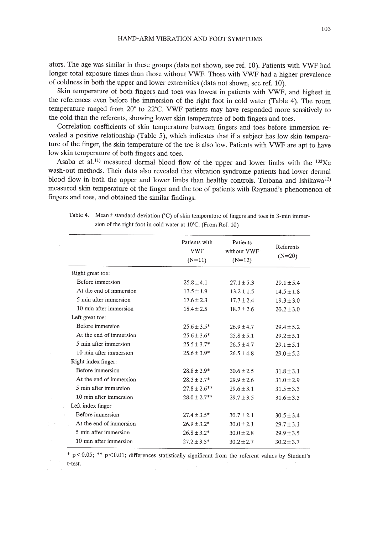ators. The age was similar in these groups (data not shown, see ref. 10). Patients with VWF had longer total exposure times than those without VWF. Those with VWF had a higher prevalence of coldness in both the upper and lower extremities (data not shown, see ref. 10).

Skin temperature of both fingers and toes was lowest in patients with VWF, and highest in the references even before the immersion of the right foot in cold water (Table 4). The room temperature ranged from  $20^{\circ}$  to  $22^{\circ}$ C. VWF patients may have responded more sensitively to the cold than the referents, showing lower skin temperature of both fingers and toes.

Correlation coefficients of skin temperature between fingers and toes before immersion revealed a positive relationship (Table 5), which indicates that if a subject has low skin temperature of the finger, the skin temperature of the toe is also low. Patients with VWF are apt to have low skin temperature of both fingers and toes.

Asaba et al.<sup>11)</sup> measured dermal blood flow of the upper and lower limbs with the  $^{133}Xe$ wash-out methods. Their data also revealed that vibration syndrome patients had lower dermal blood flow in both the upper and lower limbs than healthy controls. Toibana and Ishikawa<sup>12)</sup> measured skin temperature of the finger and the toe of patients with Raynaud's phenomenon of fingers and toes, and obtained the similar findings.

|                         | Patients with<br>VWF<br>$(N=11)$ |                | Referents<br>$(N=20)$ |
|-------------------------|----------------------------------|----------------|-----------------------|
| Right great toe:        |                                  |                |                       |
| Before immersion        | $25.8 \pm 4.1$                   | $27.1 \pm 5.3$ | $29.1 \pm 5.4$        |
| At the end of immersion | $13.5 \pm 1.9$                   | $13.2 \pm 1.5$ | $14.5 \pm 1.8$        |
| 5 min after immersion   | $17.6 \pm 2.3$                   | $17.7 \pm 2.4$ | $19.3 \pm 3.0$        |
| 10 min after immersion  | $18.4 \pm 2.5$                   | $18.7 \pm 2.6$ | $20.2 \pm 3.0$        |
| Left great toe:         |                                  |                |                       |
| Before immersion        | $25.6 \pm 3.5^*$                 | $26.9 \pm 4.7$ | $29.4 \pm 5.2$        |
| At the end of immersion | $25.6 \pm 3.6*$                  | $25.8 \pm 5.1$ | $29.2 \pm 5.1$        |
| 5 min after immersion   | $25.5 \pm 3.7*$                  | $26.5 \pm 4.7$ | $29.1 \pm 5.1$        |
| 10 min after immersion  | $25.6 \pm 3.9*$                  | $26.5 \pm 4.8$ | $29.0 \pm 5.2$        |
| Right index finger:     |                                  |                |                       |
| Before immersion        | $28.8 \pm 2.9*$                  | $30.6 \pm 2.5$ | $31.8 \pm 3.1$        |
| At the end of immersion | $28.3 \pm 2.7*$                  | $29.9 \pm 2.6$ | $31.0 \pm 2.9$        |
| 5 min after immersion   | $27.8 \pm 2.6***$                | $29.6 \pm 3.1$ | $31.5 \pm 3.3$        |
| 10 min after immersion  | $28.0 \pm 2.7$ **                | $29.7 \pm 3.5$ | $31.6 \pm 3.5$        |
| Left index finger       |                                  |                |                       |
| Before immersion        | $27.4 \pm 3.5^*$                 | $30.7 \pm 2.1$ | $30.5 \pm 3.4$        |
| At the end of immersion | $26.9 \pm 3.2*$                  | $30.0 \pm 2.1$ | $29.7 \pm 3.1$        |
| 5 min after immersion   | $26.8 \pm 3.2*$                  | $30.0 \pm 2.8$ | $29.9 \pm 3.5$        |
| 10 min after immersion  | $27.2 \pm 3.5*$                  | $30.2 \pm 2.7$ | $30.2 \pm 3.7$        |

Table 4. Mean  $\pm$  standard deviation (°C) of skin temperature of fingers and toes in 3-min immersion of the right foot in cold water at 10'C. (From Ref. 10)

 $*$  p < 0.05;  $**$  p < 0.01; differences statistically significant from the referent values by Student's t-test.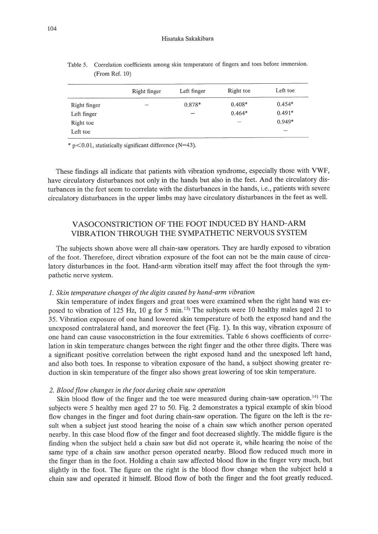|              | Right finger | Left finger | Right toe                | Left toe |
|--------------|--------------|-------------|--------------------------|----------|
| Right finger | -            | $0.878*$    | $0.408*$                 | $0.454*$ |
| Left finger  |              |             | $0.464*$                 | $0.491*$ |
| Right toe    |              |             | $\overline{\phantom{a}}$ | $0.949*$ |
| Left toe     |              |             |                          |          |

| Table 5. Correlation coefficients among skin temperature of fingers and toes before immersion. |  |  |  |  |  |
|------------------------------------------------------------------------------------------------|--|--|--|--|--|
| (From Ref. 10)                                                                                 |  |  |  |  |  |

 $*$  p $<$ 0.01, statistically significant difference (N=43).

These findings all indicate that patients with vibration syndrome, especially those with VWF, have circulatory disturbances not only in the hands but also in the feet. And the circulatory disturbances in the feet seem to correlate with the disturbances in the hands, i.e., patients with severe circulatory disturbances in the upper limbs may have circulatory disturbances in the feet as well.

# VASOCONSTRICTION OF THE FOOT INDUCED BY HAND-ARM VIBRATION THROUGH THE SYMPATHETIC NERVOUS SYSTEM

The subjects shown above were all chain-saw operators. They are hardly exposed to vibration of the foot. Therefore, direct vibration exposure of the foot can not be the main cause of circulatory disturbances in the foot. Hand-arm vibration itself may affect the foot through the sympathetic nerve system.

# *1. Skin temperature changes ofthe digits caused by hand-arm vibration*

Skin temperature of index fingers and great toes were examined when the right hand was exposed to vibration of 125 Hz, 10 g for 5 min. 13) The subjects were 10 healthy males aged 21 to 35. Vibration exposure of one hand lowered skin temperature of both the exposed hand and the unexposed contralateral hand, and moreover the feet (Fig. 1). In this way, vibration exposure of one hand can cause vasoconstriction in the four extremities. Table 6 shows coefficients of correlation in skin temperature changes between the right finger and the other three digits. There was a significant positive correlation between the right exposed hand and the unexposed left hand, and also both toes. In response to vibration exposure of the hand, a subject showing greater reduction in skin temperature of the finger also shows great lowering of toe skin temperature.

#### *2. Blood flow changes in the foot during chain saw operation*

Skin blood flow of the finger and the toe were measured during chain-saw operation.<sup>14)</sup> The subjects were 5 healthy men aged 27 to 50. Fig. 2 demonstrates a typical example of skin blood flow changes in the finger and foot during chain-saw operation. The figure on the left is the result when a subject just stood hearing the noise of a chain saw which another person operated nearby. In this case blood flow of the finger and foot decreased slightly. The middle figure is the finding when the subject held a chain saw but did not operate it, while hearing the noise of the same type of a chain saw another person operated nearby. Blood flow reduced much more in the finger than in the foot. Holding a chain saw affected blood flow in the finger very much, but slightly in the foot. The figure on the right is the blood flow change when the subject held a chain saw and operated it himself. Blood flow of both the finger and the foot greatly reduced.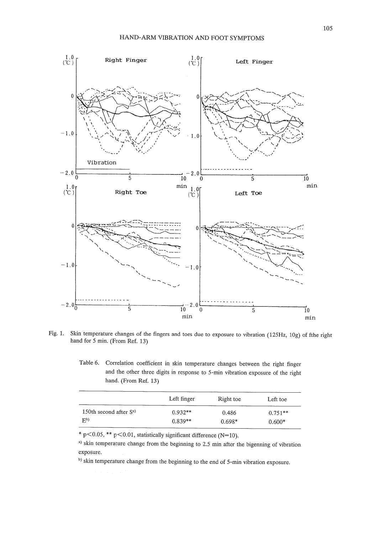

Fig. 1. Skin temperature changes of the fingers and toes due to exposure to vibration (125Hz, 109) of fthe right hand for 5 min. (From Ref. 13)

Table 6. Correlation coefficient in skin temperature changes between the right finger and the other three digits in response to 5-min vibration exposure of the right hand. (From Ref. 13)

|                          | Left finger | Right toe | Left toe  |
|--------------------------|-------------|-----------|-----------|
| 150th second after $S^a$ | $0.932**$   | 0.486     | $0.751**$ |
| F <sub>p</sub>           | $0.839**$   | $0.698*$  | $0.600*$  |

\* p<0.05, \*\* p<0.01, statistically significant difference (N=10).

a) skin temperature change from the beginning to 2.5 min after the bigenning of vibration exposure.

b) skin temperature change from the beginning to the end of 5-min vibration exposure.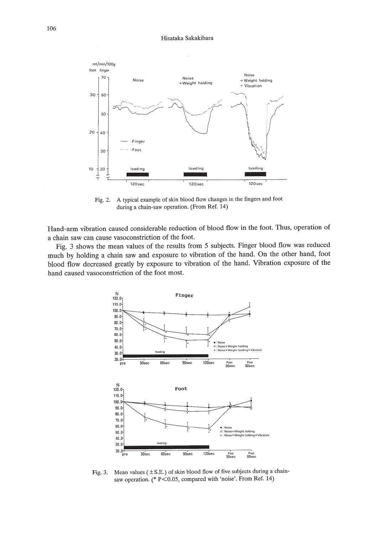#### Hisataka Sakakibara



Fig. 2. A typical example of skin blood flow changes in the fingers and foot during a chain-saw operation. (From Ref. 14)

Hand-arm vibration caused considerable reduction of blood flow in the foot. Thus, operation of a chain saw can cause vasoconstriction of the foot.

Fig. 3 shows the mean values of the results from 5 subjects. Finger blood flow was reduced much by holding a chain saw and exposure to vibration of the hand. On the other hand, foot blood flow decreased greatly by exposure to vibration of the hand. Vibration exposure of the hand caused vasoconstriction of the foot most.



Fig. 3. Mean values  $(\pm S.E.)$  of skin blood flow of five subjects during a chainsaw operation. (\* P<0.05, compared with 'noise'. From Ref. 14)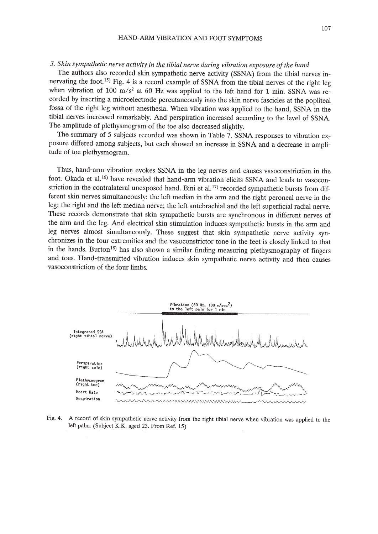# *3. Skin sympathetic nerve activity in the tibial nerve during vibration exposure ofthe hand*

The authors also recorded skin sympathetic nerve activity (SSNA) from the tibial nerves innervating the foot.<sup>15)</sup> Fig. 4 is a record example of SSNA from the tibial nerves of the right leg when vibration of 100 m/s<sup>2</sup> at 60 Hz was applied to the left hand for 1 min. SSNA was recorded by inserting a microelectrode percutaneously into the skin nerve fascicles at the popliteal fossa of the right leg without anesthesia. When vibration was applied to the hand, SSNA in the tibial nerves increased remarkably. And perspiration increased according to the level of SSNA. The amplitude of plethysmogram of the toe also decreased slightly.

The summary of 5 subjects recorded was shown in Table 7. SSNA responses to vibration exposure differed among subjects, but each showed an increase in SSNA and a decrease in amplitude of toe plethysmogram.

Thus, hand-arm vibration evokes SSNA in the leg nerves and causes vasoconstriction in the foot. Okada et al.<sup>16)</sup> have revealed that hand-arm vibration elicits SSNA and leads to vasoconstriction in the contralateral unexposed hand. Bini et al.<sup>17)</sup> recorded sympathetic bursts from different skin nerves simultaneously: the left median in the arm and the right peroneal nerve in the leg; the right and the left median nerve; the left antebrachial and the left superficial radial nerve. These records demonstrate that skin sympathetic bursts are synchronous in different nerves of the arm and the leg. And electrical skin stimulation induces sympathetic bursts in the arm and leg nerves almost simultaneously. These suggest that skin sympathetic nerve activity synchronizes in the four extremities and the vasoconstrictor tone in the feet is closely linked to that in the hands. Burton<sup>18)</sup> has also shown a similar finding measuring plethysmography of fingers and toes. Hand-transmitted vibration induces skin sympathetic nerve activity and then causes vasoconstriction of the four limbs.



Fig. 4. A record of skin sympathetic nerve activity from the right tibial nerve when vibration was applied to the left palm. (Subject K.K. aged 23. From Ref. 15)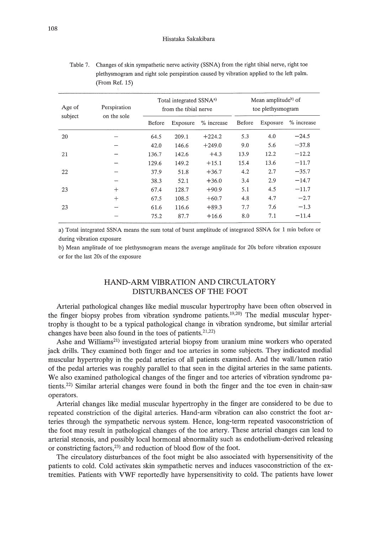| Age of  | Perspiration | Total integrated SSNA <sup>a)</sup><br>from the tibial nerve |          |            | Mean amplitude <sup>b</sup> of<br>toe plethysmogram |          |            |  |
|---------|--------------|--------------------------------------------------------------|----------|------------|-----------------------------------------------------|----------|------------|--|
| subject | on the sole  | Before                                                       | Exposure | % increase | Before                                              | Exposure | % increase |  |
| 20      |              | 64.5                                                         | 209.1    | $+224.2$   | 5.3                                                 | 4.0      | $-24.5$    |  |
|         |              | 42.0                                                         | 146.6    | $+249.0$   | 9.0                                                 | 5.6      | $-37.8$    |  |
| 21      |              | 136.7                                                        | 142.6    | $+4.3$     | 13.9                                                | 12.2     | $-12.2$    |  |
|         |              | 129.6                                                        | 149.2    | $+15.1$    | 15.4                                                | 13.6     | $-11.7$    |  |
| 22      |              | 37.9                                                         | 51.8     | $+36.7$    | 4.2                                                 | 2.7      | $-35.7$    |  |
|         |              | 38.3                                                         | 52.1     | $+36.0$    | 3.4                                                 | 2.9      | $-14.7$    |  |
| 23      | $^{+}$       | 67.4                                                         | 128.7    | $+90.9$    | 5.1                                                 | 4.5      | $-11.7$    |  |
|         | $^{+}$       | 67.5                                                         | 108.5    | $+60.7$    | 4.8                                                 | 4.7      | $-2.7$     |  |
| 23      |              | 61.6                                                         | 116.6    | $+89.3$    | 7.7                                                 | 7.6      | $-1.3$     |  |
|         |              | 75.2                                                         | 87.7     | $+16.6$    | 8.0                                                 | 7.1      | $-11.4$    |  |

Table 7. Changes of skin sympathetic nerve activity (SSNA) from the right tibial nerve, right toe plethysmogram and right sole perspiration caused by vibration applied to the left palm. (From Ref. 15)

a) Total integrated SSNA means the sum total of burst amplitude of integrated SSNA for 1 min before or during vibration exposure

b) Mean amplitude of toe plethysmogram means the average amplitude for 20s before vibration exposure or for the last 20s of the exposure

# HAND-ARM VIBRATION AND CIRCULATORY DISTURBANCES OF THE FOOT

Arterial pathological changes like medial muscular hypertrophy have been often observed in the finger biopsy probes from vibration syndrome patients.<sup>19,20</sup>) The medial muscular hypertrophy is thought to be a typical pathological change in vibration syndrome, but similar arterial changes have been also found in the toes of patients.<sup>21,22)</sup>

Ashe and Williams<sup>21)</sup> investigated arterial biopsy from uranium mine workers who operated jack drills. They examined both finger and toe arteries in some subjects. They indicated medial muscular hypertrophy in the pedal arteries of all patients examined. And the wall/lumen ratio of the pedal arteries was roughly parallel to that seen in the digital arteries in the same patients. We also examined pathological changes of the finger and toe arteries of vibration syndrome patients.22) Similar arterial changes were found in both the finger and the toe even in chain-saw operators.

Arterial changes like medial muscular hypertrophy in the finger are considered to be due to repeated constriction of the digital arteries. Hand-arm vibration can also constrict the foot arteries through the sympathetic nervous system. Hence, long-term repeated vasoconstriction of the foot may result in pathological changes of the toe artery. These arterial changes can lead to arterial stenosis, and possibly local hormonal abnormality such as endothelium-derived releasing or constricting factors,23) and reduction of blood flow of the foot.

The circulatory disturbances of the foot might be also associated with hypersensitivity of the patients to cold. Cold activates skin sympathetic nerves and induces vasoconstriction of the extremities. Patients with VWF reportedly have hypersensitivity to cold. The patients have lower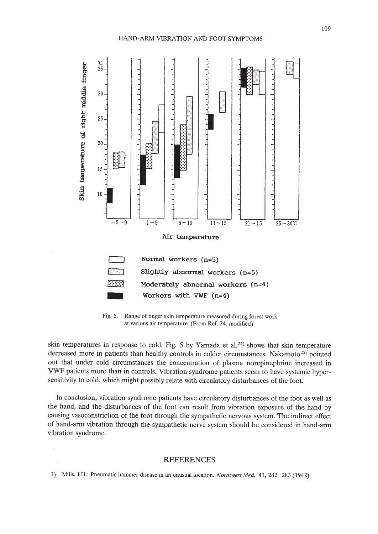

Fig. 5. Range of finger skin temperature measured during forest work at various air temperature. (From Ref. 24, modified)

skin temperatures in response to cold. Fig. 5 by Yamada et al.<sup>24)</sup> shows that skin temperature decreased more in patients than healthy controls in colder circumstances. Nakamoto<sup>25)</sup> pointed out that under cold circumstances the concentration of plasma norepinephrine increased in VWF patients more than in controls. Vibration syndrome patients seem to have systemic hypersensitivity to cold, which might possibly relate with circulatory disturbances of the foot.

In conclusion, vibration syndrome patients have circulatory disturbances of the foot as well as the hand, and the disturbances of the foot can result from vibration exposure of the hand by causing vasoconstriction of the foot through the sympathetic nervous system. The indirect effect of hand-arm vibration through the sympathetic nerve system should be considered in hand-arm vibration syndrome.

### REFERENCES

1) Mills, J.H.: Pneumatic hammer disease in an unusual location. *Northwest Med.,* 41,282-283 (1942).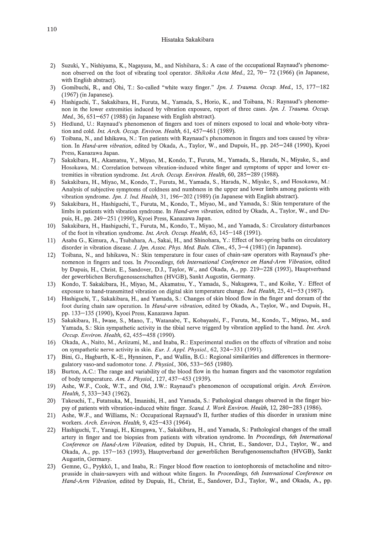#### Hisataka Sakakibara

- 2) Suzuki, Y., Nishiyama, K., Nagayasu, M., and Nishihara, S.: A case of the occupational Raynaud's phenomenon observed on the foot of vibrating tool operator. *Shikoku Acta Med.*, 22, 70– 72 (1966) (in Japanese, with English abstract).
- 3) Gomibuchi, R., and Ohi, T.: So-called "white waxy finger." *lpn.* 1. *Trauma. Occup. Med.,* 15, 177-182 (1967) (in Japanese).
- 4) Hashiguchi, T., Sakakibara, H., Furuta, M., Yamada, S., Horio, K., and Toibana, N.: Raynaud's phenomenon in the lower extremities induced by vibration exposure, report of three cases. *lpn. l. Trauma. Occup. Med.,* 36, 651-657 (1988) (in Japanese with English abstract).
- 5) Hedlund, U.: Raynaud's phenomenon of fingers and toes of miners exposed to local and whole-boty vibration and cold. *Int. Arch. Occup. Environ. Health,* 61, 457-461 (1989).
- 6) Toibana, N., and Ishikawa, N.: Ten patients with Raynaud's phenomenon in fingers and toes caused by vibration. In *Hand-arm vibration,* edited by Okada, A., Taylor, W., and Dupuis, H., pp. 245-248 (1990), Kyoei Press, Kanazawa Japan.
- 7) Sakakibara, H., Akamatsu, Y., Miyao, M., Kondo, T., Furuta, M., Yamada, S., Harada, N., Miyake, S., and Hosokawa, M.: Correlation between vibration-induced white finger and symptoms of upper and lower extremities in vibration syndrome. *Int. Arch. Occup. Environ. Health,* 60, 285-289 (1988).
- 8) Sakakibara, H., Miyao, M., Kondo, T., Furuta, M., Yamada, S., Harada, N., Miyake, S., and Hosokawa, M.: Analysis of subjective symptoms of coldness and numbness in the upper and lower limbs among patients with vibration syndrome. *lpn.* 1. *Ind. Health,* 31, 196-202 (1989) (in Japanese with English abstract).
- 9) Sakakibara, H., Hashiguchi, T., Furuta, M., Kondo, T., Miyao, M., and Yamada, S.: Skin temperature of the limbs in patients with vibration syndrome. In *Hand-arm vibration,* edited by Okada, A., Taylor, W., and Dupuis, H., pp. 249-251 (1990), Kyoei Press, Kanazawa Japan.
- 10) Sakakibara, H., Hashiguchi, T, Furuta, M., Kondo, T, Miyao, M., and Yamada, S.: Circulatory disturbances of the foot in vibration syndrome. *Int. Arch. Occup. Health,* 63,145-148 (1991).
- 11) Asaba G., Kimura, A., Tsubahara, A., Sakai, H., and Shinohara, Y.: Effect of hot-spring baths on circulatory disorder in vibration disease. 1. *lpn. Assoc. Phys. Med. Baln. Clim.,* 45, 3-4 (1981) (in Japanese).
- 12) Toibana, N., and Ishikawa, N.: Skin temperature in four cases of chain-saw operators with Raynaud's phenomenon in fingers and toes. In *Proceedings, 6th International Conference on Hand-Arm Vibration,* edited by Dupuis, H., Christ, E., Sandover, D.J., Taylor, W., and Okada, A., pp. 219-228 (1993), Hauptverband der gewerblichen Berufsgenossenschaften (HVGB), Sankt Augustin, Germany.
- 13) Kondo, T. Sakakibara, H., Miyao, M., Akamatsu, Y., Yamada, S., Nakagawa, T., and Koike, Y.: Effect of exposure to hand-transmitted vibration on digital skin temperature change. *Ind. Health,* 25, 41-53 (1987).
- 14) Hashiguchi, T, Sakakibara, H., and Yamada, S.: Changes of skin blood flow in the finger and dorsum of the foot during chain saw operation. In *Hand-arm vibration,* edited by Okada, A., Taylor, W., and Dupuis, H., pp. 133-135 (1990), Kyoei Press, Kanazawa Japan.
- 15) Sakakibara, H., Iwase, S., Mano, T, Watanabe, T., Kobayashi, F., Furuta, M., Kondo, T., Miyao, M., and Yamada, S.: Skin sympathetic activity in the tibial nerve triggerd by vibration applied to the hand. *Int. Arch. Occup. Environ. Health,* 62, 455-458 (1990).
- 16) Okada, A., Naito, M., Ariizumi, M., and Inaba, R.: Experimental studies on the effects of vibration and noise on sympathetic nerve activity in skin. *Eur. l. Appl. Physiol.,* 62, 324-331 (1991).
- 17) Bini, G., Hagbarth, K.-E., Hynninen, P., and Wallin, B.G.: Regional similarities and differences in thermoregulatory vaso-and sudomotor tone. *l. Physio!.,* 306, 533-565 (1980).
- 18) Burton, A.c.: The range and variability of the blood flow in the human fingers and the vasomotor regulation of body temperature. *Am. l. Physiol.,* 127,437-453 (1939).
- 19) Ashe, W.F., Cook, W.T., and Old, J.W.: Raynaud's phenomenon of occupational origin. *Arch. Environ. Health,* 5, 333-343 (1962).
- 20) Takeuchi, T., Futatsuka, M., Imanishi, H., and Yamada, S.: Pathological changes observed in the finger biopsy of patients with vibration-induced white finger. *Scand. l. Work Environ. Health,* 12,280-283 (1986).
- 21) Ashe, W.F., and Williams, N.: Occupational Raynaud's **II,** further studies of this disorder in uranium mine workers. *Arch. Environ. Health,* 9,425-433 (1964).
- 22) Hashiguchi, T., Yanagi, H., Kinugawa, Y., Sakakibara, H., and Yamada, S.: Pathological changes of the small artery in finger and toe biopsies from patients with vibration syndrome. In *Proceedings, 6th International Conference on Hand-Arm Vibration,* edited by Dupuis, H., Christ, E., Sandover, D.1., Taylor, W., and Okada, A., pp. 157-163 (1993), Hauptverband der gewerblichen Berufsgenossenschaften (HVGB), Sankt Augustin, Germany.
- 23) Gemne, G., Pyykko, 1., and Inaba, R.: Finger blood flow reaction to iontophoresis of metacholine and nitroprusside in chain-sawyers with and without white fingers. In *Proceedings, 6th International Conference on Hand-Arm Vibration,* edited by Dupuis, H., Christ, E., Sandover, D.J., Taylor, W., and Okada, A., pp.